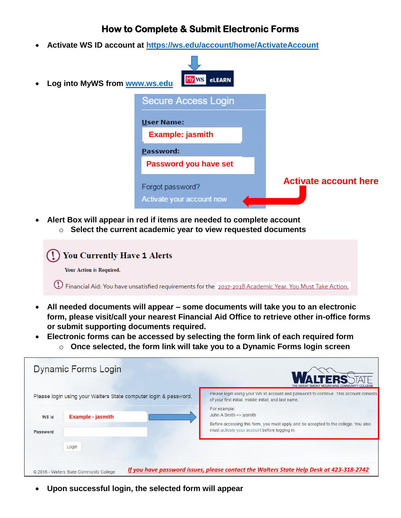## **How to Complete & Submit Electronic Forms**

**Activate WS ID account at https://ws.edu/account/home/ActivateAccount**



**Alert Box will appear in red if items are needed to complete account**



- **All needed documents will appear – some documents will take you to an electronic form, please visit/call your nearest Financial Aid Office to retrieve other in-office forms or submit supporting documents required.**
- **Electronic forms can be accessed by selecting the form link of each required form** o **Once selected, the form link will take you to a Dynamic Forms login screen**

|                   | <b>Dynamic Forms Login</b>                                       |                                                                                                                                                                                 |
|-------------------|------------------------------------------------------------------|---------------------------------------------------------------------------------------------------------------------------------------------------------------------------------|
|                   | Please login using your Walters State computer login & password. | Please login using your WS Id account and password to continue. This account consists<br>of your first iniital, middle initial, and last name.                                  |
| WS Id<br>Password | <b>Example - jasmith</b>                                         | For example:<br>John A Smith => jasmith<br>Before accessing this form, you must apply and be accepted to the college. You also<br>must activate your account before logging in. |
|                   | Login<br>© 2016 - Walters State Community College                | If you have password issues, please contact the Walters State Help Desk at 423-318-2742                                                                                         |

**Upon successful login, the selected form will appear**